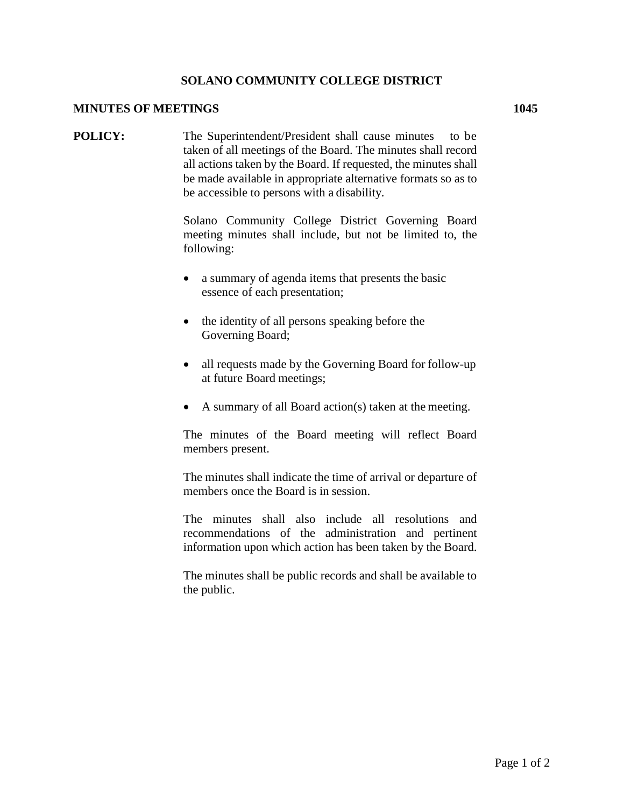## **SOLANO COMMUNITY COLLEGE DISTRICT**

## **MINUTES OF MEETINGS 1045**

**POLICY:** The Superintendent/President shall cause minutes to be taken of all meetings of the Board. The minutes shall record all actions taken by the Board. If requested, the minutes shall be made available in appropriate alternative formats so as to be accessible to persons with a disability.

> Solano Community College District Governing Board meeting minutes shall include, but not be limited to, the following:

- a summary of agenda items that presents the basic essence of each presentation;
- the identity of all persons speaking before the Governing Board;
- all requests made by the Governing Board for follow-up at future Board meetings;
- A summary of all Board action(s) taken at the meeting.

The minutes of the Board meeting will reflect Board members present.

The minutes shall indicate the time of arrival or departure of members once the Board is in session.

The minutes shall also include all resolutions and recommendations of the administration and pertinent information upon which action has been taken by the Board.

The minutes shall be public records and shall be available to the public.